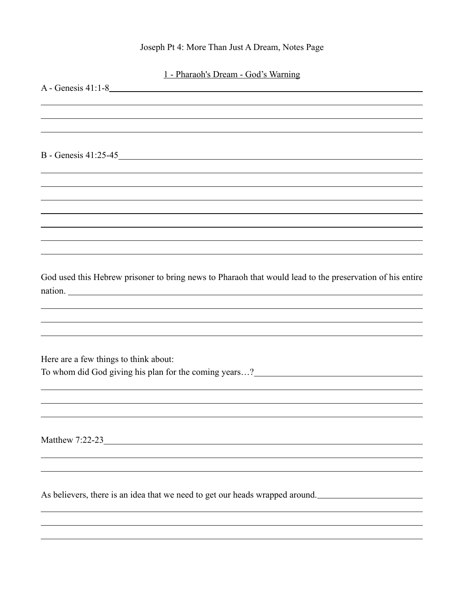## Joseph Pt 4: More Than Just A Dream, Notes Page

 $\overline{a}$ 

| 1 - Pharaoh's Dream - God's Warning                                                                                                                  |
|------------------------------------------------------------------------------------------------------------------------------------------------------|
| A - Genesis 41:1-8                                                                                                                                   |
|                                                                                                                                                      |
|                                                                                                                                                      |
| B - Genesis 41:25-45                                                                                                                                 |
|                                                                                                                                                      |
|                                                                                                                                                      |
|                                                                                                                                                      |
|                                                                                                                                                      |
|                                                                                                                                                      |
|                                                                                                                                                      |
| God used this Hebrew prisoner to bring news to Pharaoh that would lead to the preservation of his entire                                             |
| nation.<br>,我们也不能在这里的时候,我们也不能在这里的时候,我们也不能不能不能不能不能不能不能不能不能不能不能不能。<br>第2012章 我们的时候,我们的时候,我们的时候,我们的时候,我们的时候,我们的时候,我们的时候,我们的时候,我们的时候,我们的时候,我们的时候,我们的时候,我 |
|                                                                                                                                                      |
| ,我们也不能在这里,我们也不能不能不能不能不能不能不能不能不能不能不能不能不能不能不能不能。""我们不能不能不能不能不能不能不能不能不能不能不能不能不能不能不能                                                                     |
| Here are a few things to think about:                                                                                                                |
| To whom did God giving his plan for the coming years?_________________________                                                                       |
|                                                                                                                                                      |
|                                                                                                                                                      |
|                                                                                                                                                      |
| Matthew 7:22-23                                                                                                                                      |
|                                                                                                                                                      |

As believers, there is an idea that we need to get our heads wrapped around.